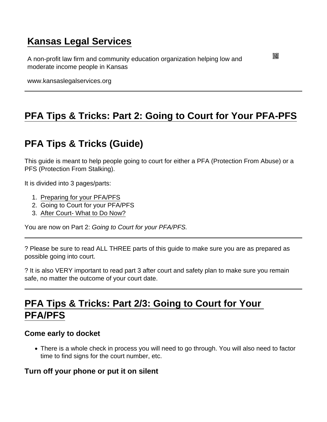# [Kansas Legal Services](https://www.kansaslegalservices.org/)

A non-profit law firm and community education organization helping low and moderate income people in Kansas

www.kansaslegalservices.org

# [PFA Tips & Tricks: Part 2: Going to Court for Your PFA-PFS](https://www.kansaslegalservices.org/node/2037/pfa-tips-tricks-part-2-going-court-your-pfa-pfs)

# PFA Tips & Tricks (Guide)

This guide is meant to help people going to court for either a PFA (Protection From Abuse) or a PFS (Protection From Stalking).

It is divided into 3 pages/parts:

- 1. [Preparing for your PFA/PFS](http://www.kansaslegalservices.org/node/2036/pfa-tips-tricks-part-1-preparing-your-pfapfs)
- 2. Going to Court for your PFA/PFS
- 3. [After Court- What to Do Now?](http://www.kansaslegalservices.org/node/2038/pfa-tips-tricks-part-3-after-court-what-do-now)

You are now on Part 2: Going to Court for your PFA/PFS.

? Please be sure to read ALL THREE parts of this guide to make sure you are as prepared as possible going into court.

? It is also VERY important to read part 3 after court and safety plan to make sure you remain safe, no matter the outcome of your court date.

## PFA Tips & Tricks: Part 2/3: Going to Court for Your PFA/PFS

Come early to docket

There is a whole check in process you will need to go through. You will also need to factor time to find signs for the court number, etc.

Turn off your phone or put it on silent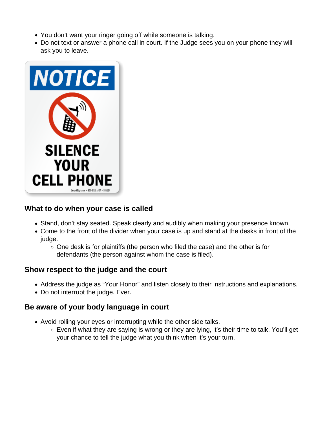- You don't want your ringer going off while someone is talking.
- Do not text or answer a phone call in court. If the Judge sees you on your phone they will ask you to leave.



## **What to do when your case is called**

- Stand, don't stay seated. Speak clearly and audibly when making your presence known.
- Come to the front of the divider when your case is up and stand at the desks in front of the judge.
	- $\circ$  One desk is for plaintiffs (the person who filed the case) and the other is for defendants (the person against whom the case is filed).

### **Show respect to the judge and the court**

- Address the judge as "Your Honor" and listen closely to their instructions and explanations.
- Do not interrupt the judge. Ever.

#### **Be aware of your body language in court**

- Avoid rolling your eyes or interrupting while the other side talks.
	- $\circ$  Even if what they are saying is wrong or they are lying, it's their time to talk. You'll get your chance to tell the judge what you think when it's your turn.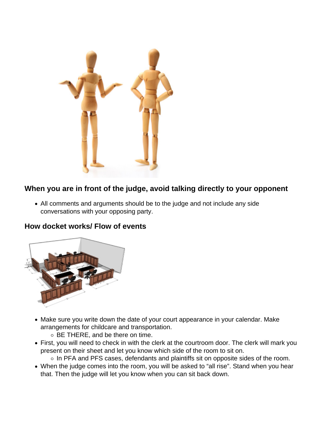

## **When you are in front of the judge, avoid talking directly to your opponent**

All comments and arguments should be to the judge and not include any side conversations with your opposing party.

#### **How docket works/ Flow of events**



- Make sure you write down the date of your court appearance in your calendar. Make arrangements for childcare and transportation.
	- BE THERE, and be there on time.
- First, you will need to check in with the clerk at the courtroom door. The clerk will mark you present on their sheet and let you know which side of the room to sit on.
	- $\circ$  In PFA and PFS cases, defendants and plaintiffs sit on opposite sides of the room.
- When the judge comes into the room, you will be asked to "all rise". Stand when you hear that. Then the judge will let you know when you can sit back down.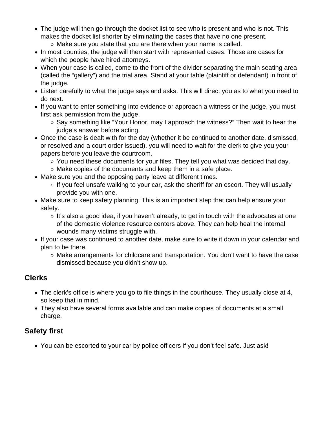- The judge will then go through the docket list to see who is present and who is not. This makes the docket list shorter by eliminating the cases that have no one present.
	- $\circ$  Make sure you state that you are there when your name is called.
- In most counties, the judge will then start with represented cases. Those are cases for which the people have hired attorneys.
- When your case is called, come to the front of the divider separating the main seating area (called the "gallery") and the trial area. Stand at your table (plaintiff or defendant) in front of the judge.
- Listen carefully to what the judge says and asks. This will direct you as to what you need to do next.
- If you want to enter something into evidence or approach a witness or the judge, you must first ask permission from the judge.
	- $\circ$  Say something like "Your Honor, may I approach the witness?" Then wait to hear the judge's answer before acting.
- Once the case is dealt with for the day (whether it be continued to another date, dismissed, or resolved and a court order issued), you will need to wait for the clerk to give you your papers before you leave the courtroom.
	- You need these documents for your files. They tell you what was decided that day.
	- $\circ$  Make copies of the documents and keep them in a safe place.
- Make sure you and the opposing party leave at different times.
	- $\circ$  If you feel unsafe walking to your car, ask the sheriff for an escort. They will usually provide you with one.
- Make sure to keep safety planning. This is an important step that can help ensure your safety.
	- $\circ$  It's also a good idea, if you haven't already, to get in touch with the advocates at one of the domestic violence resource centers above. They can help heal the internal wounds many victims struggle with.
- If your case was continued to another date, make sure to write it down in your calendar and plan to be there.
	- $\circ$  Make arrangements for childcare and transportation. You don't want to have the case dismissed because you didn't show up.

### **Clerks**

- The clerk's office is where you go to file things in the courthouse. They usually close at 4, so keep that in mind.
- They also have several forms available and can make copies of documents at a small charge.

## **Safety first**

You can be escorted to your car by police officers if you don't feel safe. Just ask!